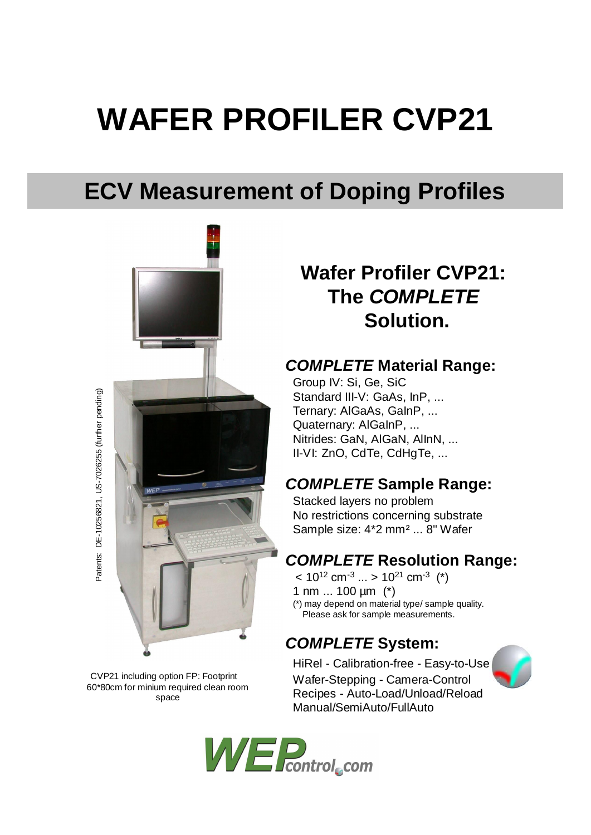# **WAFER PROFILER CVP21**

## **ECV Measurement of Doping Profiles**



CVP21 including option FP: Footprint 60\*80cm for minium required clean room space

**Wafer Profiler CVP21: The** *COMPLETE* **Solution.**

#### *COMPLETE* **Material Range:**

Group IV: Si, Ge, SiC Standard III-V: GaAs, InP, ... Ternary: AlGaAs, GaInP, ... Quaternary: AlGaInP, ... Nitrides: GaN, AlGaN, AlInN, ... II-VI: ZnO, CdTe, CdHgTe, ...

#### *COMPLETE* **Sample Range:**

Stacked layers no problem No restrictions concerning substrate Sample size: 4\*2 mm² ... 8" Wafer

### *COMPLETE* **Resolution Range:**

 $< 10^{12}$  cm<sup>-3</sup> ... >  $10^{21}$  cm<sup>-3</sup> (\*) 1 nm ... 100 µm (\*) (\*) may depend on material type/ sample quality. Please ask for sample measurements.

#### *COMPLETE* **System:**

HiRel - Calibration-free - Easy-to-Use Wafer-Stepping - Camera-Control Recipes - Auto-Load/Unload/Reload Manual/SemiAuto/FullAuto



Patents: DE-10256821, US-7026255 (further pending) Patents: DE-10256821, US-7026255 (further pending)